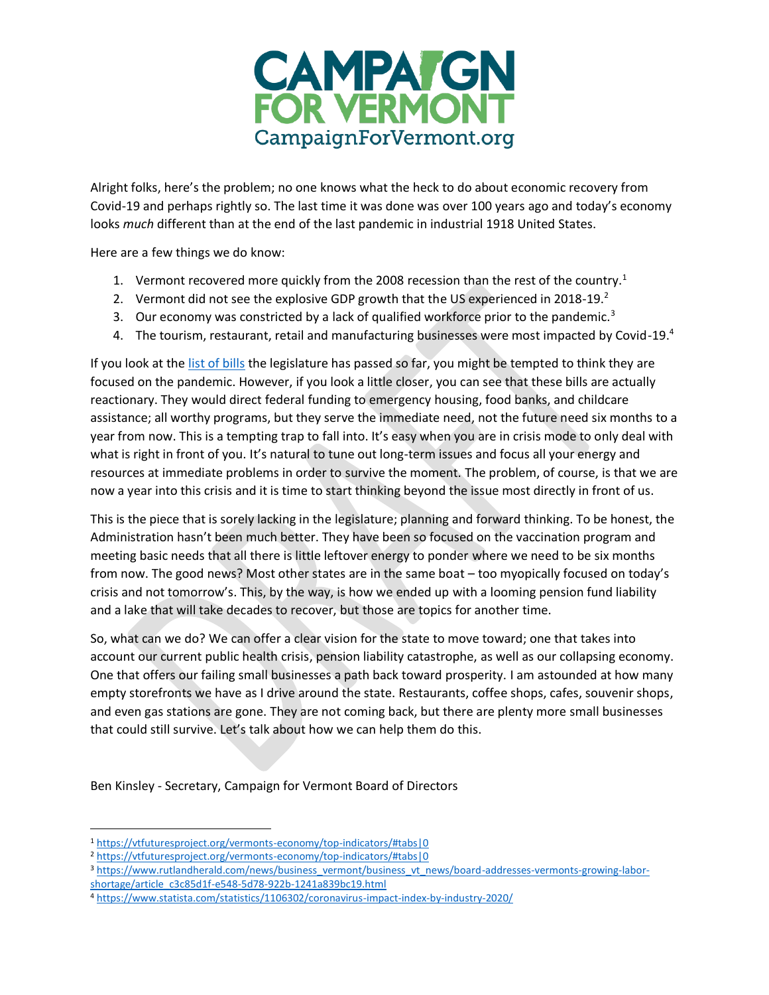

Alright folks, here's the problem; no one knows what the heck to do about economic recovery from Covid-19 and perhaps rightly so. The last time it was done was over 100 years ago and today's economy looks *much* different than at the end of the last pandemic in industrial 1918 United States.

Here are a few things we do know:

- 1. Vermont recovered more quickly from the 2008 recession than the rest of the country.<sup>1</sup>
- 2. Vermont did not see the explosive GDP growth that the US experienced in 2018-19.<sup>2</sup>
- 3. Our economy was constricted by a lack of qualified workforce prior to the pandemic. $3$
- 4. The tourism, restaurant, retail and manufacturing businesses were most impacted by Covid-19.4

If you look at the [list of bills](https://legislature.vermont.gov/bill/passed/2022#both-house-and-senate) the legislature has passed so far, you might be tempted to think they are focused on the pandemic. However, if you look a little closer, you can see that these bills are actually reactionary. They would direct federal funding to emergency housing, food banks, and childcare assistance; all worthy programs, but they serve the immediate need, not the future need six months to a year from now. This is a tempting trap to fall into. It's easy when you are in crisis mode to only deal with what is right in front of you. It's natural to tune out long-term issues and focus all your energy and resources at immediate problems in order to survive the moment. The problem, of course, is that we are now a year into this crisis and it is time to start thinking beyond the issue most directly in front of us.

This is the piece that is sorely lacking in the legislature; planning and forward thinking. To be honest, the Administration hasn't been much better. They have been so focused on the vaccination program and meeting basic needs that all there is little leftover energy to ponder where we need to be six months from now. The good news? Most other states are in the same boat – too myopically focused on today's crisis and not tomorrow's. This, by the way, is how we ended up with a looming pension fund liability and a lake that will take decades to recover, but those are topics for another time.

So, what can we do? We can offer a clear vision for the state to move toward; one that takes into account our current public health crisis, pension liability catastrophe, as well as our collapsing economy. One that offers our failing small businesses a path back toward prosperity. I am astounded at how many empty storefronts we have as I drive around the state. Restaurants, coffee shops, cafes, souvenir shops, and even gas stations are gone. They are not coming back, but there are plenty more small businesses that could still survive. Let's talk about how we can help them do this.

Ben Kinsley - Secretary, Campaign for Vermont Board of Directors

<sup>1</sup> <https://vtfuturesproject.org/vermonts-economy/top-indicators/#tabs|0>

<sup>2</sup> <https://vtfuturesproject.org/vermonts-economy/top-indicators/#tabs|0>

<sup>3</sup> [https://www.rutlandherald.com/news/business\\_vermont/business\\_vt\\_news/board-addresses-vermonts-growing-labor](https://www.rutlandherald.com/news/business_vermont/business_vt_news/board-addresses-vermonts-growing-labor-shortage/article_c3c85d1f-e548-5d78-922b-1241a839bc19.html)[shortage/article\\_c3c85d1f-e548-5d78-922b-1241a839bc19.html](https://www.rutlandherald.com/news/business_vermont/business_vt_news/board-addresses-vermonts-growing-labor-shortage/article_c3c85d1f-e548-5d78-922b-1241a839bc19.html)

<sup>4</sup> <https://www.statista.com/statistics/1106302/coronavirus-impact-index-by-industry-2020/>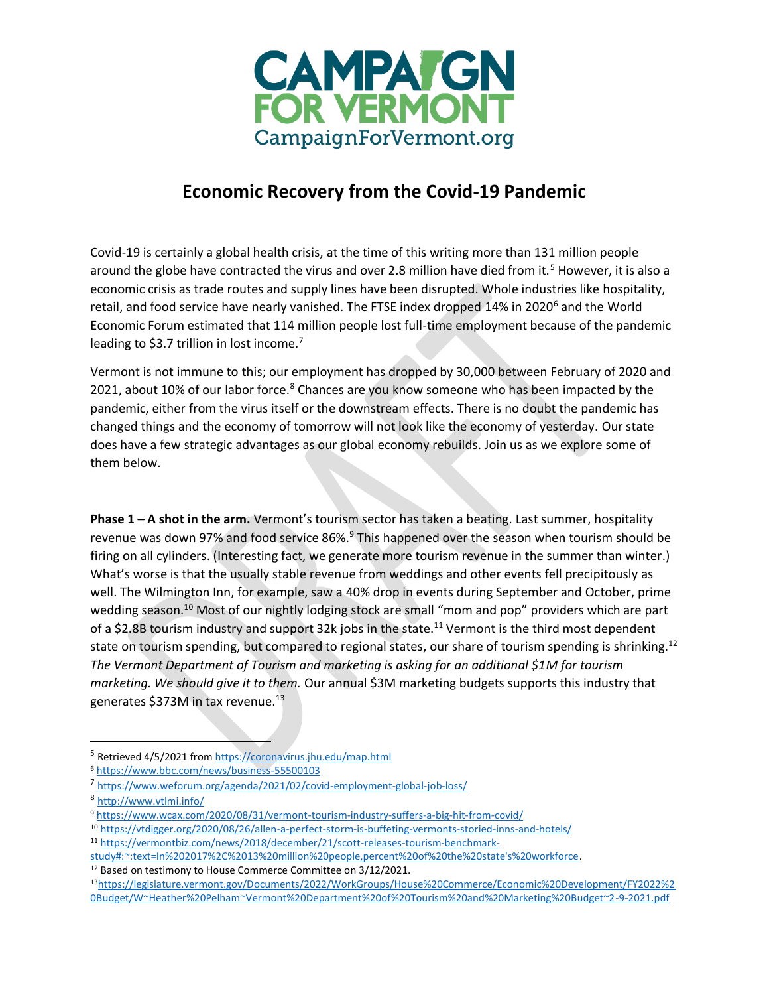

## **Economic Recovery from the Covid-19 Pandemic**

Covid-19 is certainly a global health crisis, at the time of this writing more than 131 million people around the globe have contracted the virus and over 2.8 million have died from it.<sup>5</sup> However, it is also a economic crisis as trade routes and supply lines have been disrupted. Whole industries like hospitality, retail, and food service have nearly vanished. The FTSE index dropped 14% in 2020<sup>6</sup> and the World Economic Forum estimated that 114 million people lost full-time employment because of the pandemic leading to \$3.7 trillion in lost income.<sup>7</sup>

Vermont is not immune to this; our employment has dropped by 30,000 between February of 2020 and 2021, about 10% of our labor force.<sup>8</sup> Chances are you know someone who has been impacted by the pandemic, either from the virus itself or the downstream effects. There is no doubt the pandemic has changed things and the economy of tomorrow will not look like the economy of yesterday. Our state does have a few strategic advantages as our global economy rebuilds. Join us as we explore some of them below.

**Phase 1 – A shot in the arm.** Vermont's tourism sector has taken a beating. Last summer, hospitality revenue was down 97% and food service 86%.<sup>9</sup> This happened over the season when tourism should be firing on all cylinders. (Interesting fact, we generate more tourism revenue in the summer than winter.) What's worse is that the usually stable revenue from weddings and other events fell precipitously as well. The Wilmington Inn, for example, saw a 40% drop in events during September and October, prime wedding season.<sup>10</sup> Most of our nightly lodging stock are small "mom and pop" providers which are part of a \$2.8B tourism industry and support 32k jobs in the state.<sup>11</sup> Vermont is the third most dependent state on tourism spending, but compared to regional states, our share of tourism spending is shrinking.<sup>12</sup> *The Vermont Department of Tourism and marketing is asking for an additional \$1M for tourism marketing. We should give it to them.* Our annual \$3M marketing budgets supports this industry that generates \$373M in tax revenue.<sup>13</sup>

<sup>12</sup> Based on testimony to House Commerce Committee on 3/12/2021.

<sup>5</sup> Retrieved 4/5/2021 fro[m https://coronavirus.jhu.edu/map.html](https://coronavirus.jhu.edu/map.html)

<sup>6</sup> <https://www.bbc.com/news/business-55500103>

<sup>7</sup> <https://www.weforum.org/agenda/2021/02/covid-employment-global-job-loss/>

<sup>8</sup> <http://www.vtlmi.info/>

<sup>9</sup> <https://www.wcax.com/2020/08/31/vermont-tourism-industry-suffers-a-big-hit-from-covid/>

<sup>10</sup> <https://vtdigger.org/2020/08/26/allen-a-perfect-storm-is-buffeting-vermonts-storied-inns-and-hotels/>

<sup>11</sup> [https://vermontbiz.com/news/2018/december/21/scott-releases-tourism-benchmark-](https://vermontbiz.com/news/2018/december/21/scott-releases-tourism-benchmark-study#:~:text=In%202017%2C%2013%20million%20people,percent%20of%20the%20state)

[study#:~:text=In%202017%2C%2013%20million%20people,percent%20of%20the%20state's%20workforce.](https://vermontbiz.com/news/2018/december/21/scott-releases-tourism-benchmark-study#:~:text=In%202017%2C%2013%20million%20people,percent%20of%20the%20state)

<sup>13</sup>[https://legislature.vermont.gov/Documents/2022/WorkGroups/House%20Commerce/Economic%20Development/FY2022%2](https://legislature.vermont.gov/Documents/2022/WorkGroups/House%20Commerce/Economic%20Development/FY2022%20Budget/W~Heather%20Pelham~Vermont%20Department%20of%20Tourism%20and%20Marketing%20Budget~2-9-2021.pdf) [0Budget/W~Heather%20Pelham~Vermont%20Department%20of%20Tourism%20and%20Marketing%20Budget~2-9-2021.pdf](https://legislature.vermont.gov/Documents/2022/WorkGroups/House%20Commerce/Economic%20Development/FY2022%20Budget/W~Heather%20Pelham~Vermont%20Department%20of%20Tourism%20and%20Marketing%20Budget~2-9-2021.pdf)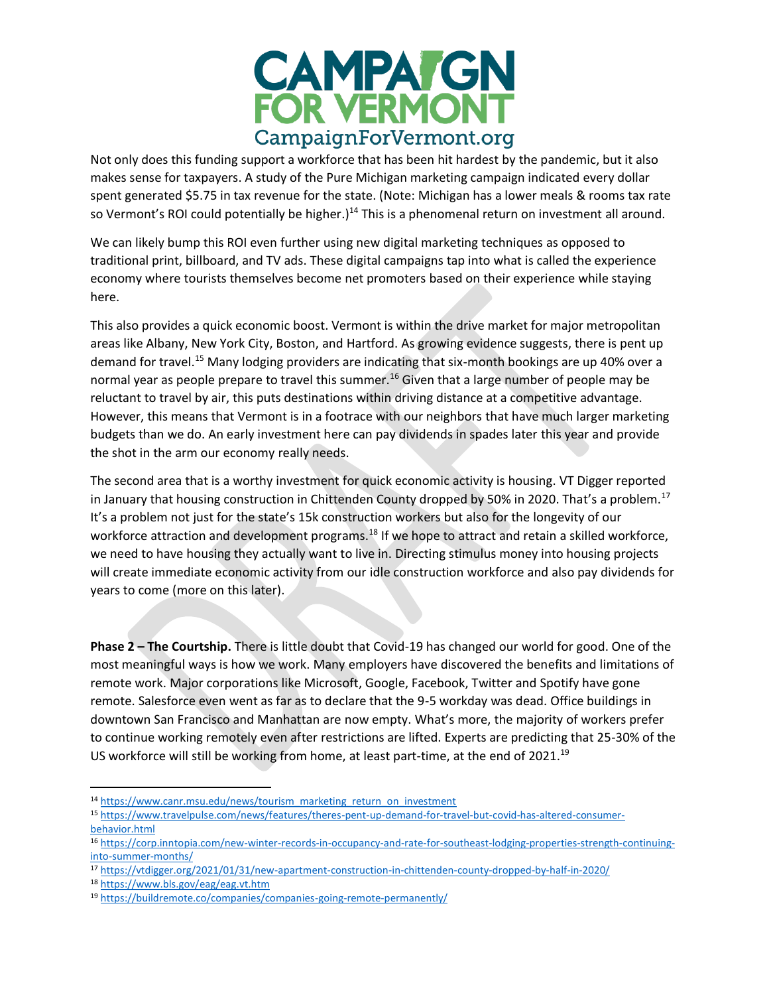

Not only does this funding support a workforce that has been hit hardest by the pandemic, but it also makes sense for taxpayers. A study of the Pure Michigan marketing campaign indicated every dollar spent generated \$5.75 in tax revenue for the state. (Note: Michigan has a lower meals & rooms tax rate so Vermont's ROI could potentially be higher.)<sup>14</sup> This is a phenomenal return on investment all around.

We can likely bump this ROI even further using new digital marketing techniques as opposed to traditional print, billboard, and TV ads. These digital campaigns tap into what is called the experience economy where tourists themselves become net promoters based on their experience while staying here.

This also provides a quick economic boost. Vermont is within the drive market for major metropolitan areas like Albany, New York City, Boston, and Hartford. As growing evidence suggests, there is pent up demand for travel.<sup>15</sup> Many lodging providers are indicating that six-month bookings are up 40% over a normal year as people prepare to travel this summer.<sup>16</sup> Given that a large number of people may be reluctant to travel by air, this puts destinations within driving distance at a competitive advantage. However, this means that Vermont is in a footrace with our neighbors that have much larger marketing budgets than we do. An early investment here can pay dividends in spades later this year and provide the shot in the arm our economy really needs.

The second area that is a worthy investment for quick economic activity is housing. VT Digger reported in January that housing construction in Chittenden County dropped by 50% in 2020. That's a problem.<sup>17</sup> It's a problem not just for the state's 15k construction workers but also for the longevity of our workforce attraction and development programs.<sup>18</sup> If we hope to attract and retain a skilled workforce, we need to have housing they actually want to live in. Directing stimulus money into housing projects will create immediate economic activity from our idle construction workforce and also pay dividends for years to come (more on this later).

**Phase 2 – The Courtship.** There is little doubt that Covid-19 has changed our world for good. One of the most meaningful ways is how we work. Many employers have discovered the benefits and limitations of remote work. Major corporations like Microsoft, Google, Facebook, Twitter and Spotify have gone remote. Salesforce even went as far as to declare that the 9-5 workday was dead. Office buildings in downtown San Francisco and Manhattan are now empty. What's more, the majority of workers prefer to continue working remotely even after restrictions are lifted. Experts are predicting that 25-30% of the US workforce will still be working from home, at least part-time, at the end of 2021.<sup>19</sup>

- <sup>14</sup> [https://www.canr.msu.edu/news/tourism\\_marketing\\_return\\_on\\_investment](https://www.canr.msu.edu/news/tourism_marketing_return_on_investment)
- <sup>15</sup> [https://www.travelpulse.com/news/features/theres-pent-up-demand-for-travel-but-covid-has-altered-consumer](https://www.travelpulse.com/news/features/theres-pent-up-demand-for-travel-but-covid-has-altered-consumer-behavior.html)[behavior.html](https://www.travelpulse.com/news/features/theres-pent-up-demand-for-travel-but-covid-has-altered-consumer-behavior.html)

<sup>16</sup> [https://corp.inntopia.com/new-winter-records-in-occupancy-and-rate-for-southeast-lodging-properties-strength-continuing](https://corp.inntopia.com/new-winter-records-in-occupancy-and-rate-for-southeast-lodging-properties-strength-continuing-into-summer-months/)[into-summer-months/](https://corp.inntopia.com/new-winter-records-in-occupancy-and-rate-for-southeast-lodging-properties-strength-continuing-into-summer-months/)

<sup>17</sup> <https://vtdigger.org/2021/01/31/new-apartment-construction-in-chittenden-county-dropped-by-half-in-2020/>

<sup>18</sup> <https://www.bls.gov/eag/eag.vt.htm>

<sup>19</sup> <https://buildremote.co/companies/companies-going-remote-permanently/>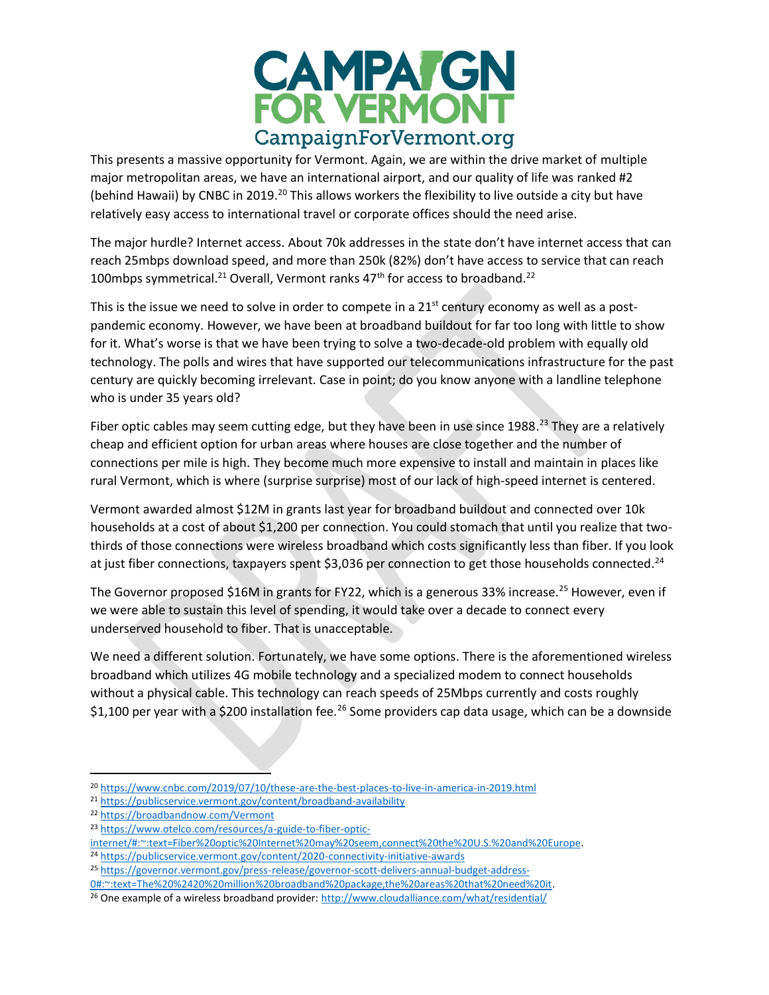

This presents a massive opportunity for Vermont. Again, we are within the drive market of multiple major metropolitan areas, we have an international airport, and our quality of life was ranked #2 (behind Hawaii) by CNBC in 2019.<sup>20</sup> This allows workers the flexibility to live outside a city but have relatively easy access to international travel or corporate offices should the need arise.

The major hurdle? Internet access. About 70k addresses in the state don't have internet access that can reach 25mbps download speed, and more than 250k (82%) don't have access to service that can reach 100mbps symmetrical.<sup>21</sup> Overall, Vermont ranks  $47<sup>th</sup>$  for access to broadband.<sup>22</sup>

This is the issue we need to solve in order to compete in a  $21<sup>st</sup>$  century economy as well as a postpandemic economy. However, we have been at broadband buildout for far too long with little to show for it. What's worse is that we have been trying to solve a two-decade-old problem with equally old technology. The polls and wires that have supported our telecommunications infrastructure for the past century are quickly becoming irrelevant. Case in point; do you know anyone with a landline telephone who is under 35 years old?

Fiber optic cables may seem cutting edge, but they have been in use since 1988.<sup>23</sup> They are a relatively cheap and efficient option for urban areas where houses are close together and the number of connections per mile is high. They become much more expensive to install and maintain in places like rural Vermont, which is where (surprise surprise) most of our lack of high-speed internet is centered.

Vermont awarded almost \$12M in grants last year for broadband buildout and connected over 10k households at a cost of about \$1,200 per connection. You could stomach that until you realize that twothirds of those connections were wireless broadband which costs significantly less than fiber. If you look at just fiber connections, taxpayers spent \$3,036 per connection to get those households connected.<sup>24</sup>

The Governor proposed \$16M in grants for FY22, which is a generous 33% increase.<sup>25</sup> However, even if we were able to sustain this level of spending, it would take over a decade to connect every underserved household to fiber. That is unacceptable.

We need a different solution. Fortunately, we have some options. There is the aforementioned wireless broadband which utilizes 4G mobile technology and a specialized modem to connect households without a physical cable. This technology can reach speeds of 25Mbps currently and costs roughly \$1,100 per year with a \$200 installation fee.<sup>26</sup> Some providers cap data usage, which can be a downside

<sup>20</sup> <https://www.cnbc.com/2019/07/10/these-are-the-best-places-to-live-in-america-in-2019.html>

<sup>21</sup> <https://publicservice.vermont.gov/content/broadband-availability>

<sup>22</sup> <https://broadbandnow.com/Vermont>

<sup>23</sup> [https://www.otelco.com/resources/a-guide-to-fiber-optic-](https://www.otelco.com/resources/a-guide-to-fiber-optic-internet/#:~:text=Fiber%20optic%20Internet%20may%20seem,connect%20the%20U.S.%20and%20Europe)

[internet/#:~:text=Fiber%20optic%20Internet%20may%20seem,connect%20the%20U.S.%20and%20Europe.](https://www.otelco.com/resources/a-guide-to-fiber-optic-internet/#:~:text=Fiber%20optic%20Internet%20may%20seem,connect%20the%20U.S.%20and%20Europe)

<sup>24</sup> <https://publicservice.vermont.gov/content/2020-connectivity-initiative-awards>

<sup>25</sup> [https://governor.vermont.gov/press-release/governor-scott-delivers-annual-budget-address-](https://governor.vermont.gov/press-release/governor-scott-delivers-annual-budget-address-0#:~:text=The%20%2420%20million%20broadband%20package,the%20areas%20that%20need%20it)[0#:~:text=The%20%2420%20million%20broadband%20package,the%20areas%20that%20need%20it.](https://governor.vermont.gov/press-release/governor-scott-delivers-annual-budget-address-0#:~:text=The%20%2420%20million%20broadband%20package,the%20areas%20that%20need%20it)

<sup>&</sup>lt;sup>26</sup> One example of a wireless broadband provider:<http://www.cloudalliance.com/what/residential/>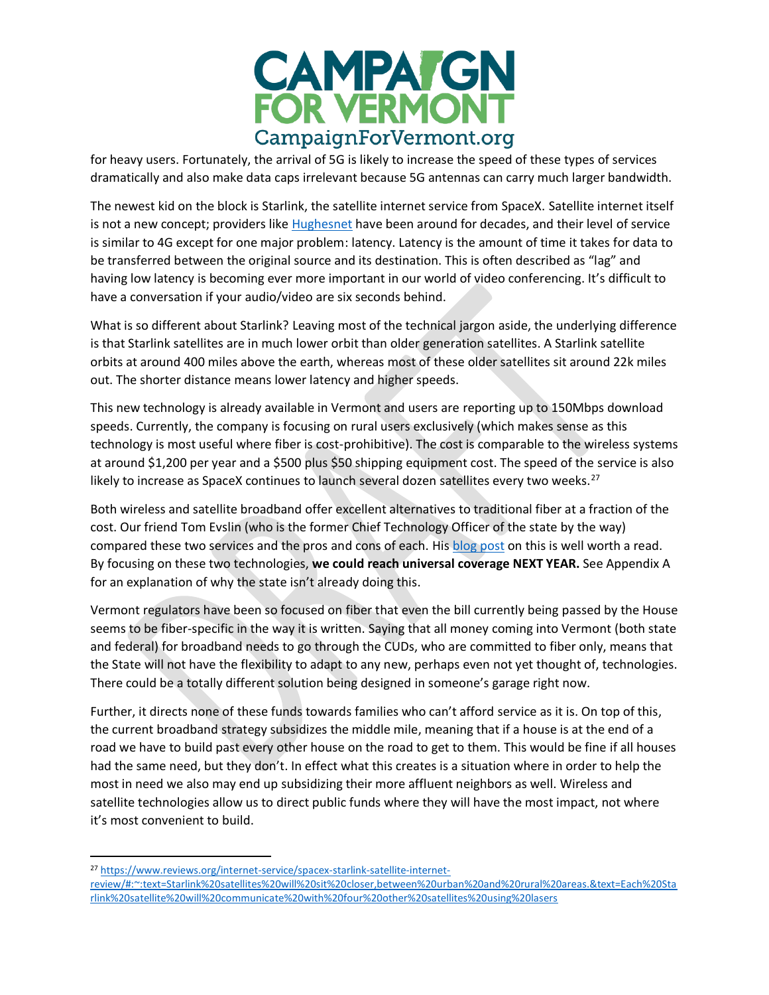

for heavy users. Fortunately, the arrival of 5G is likely to increase the speed of these types of services dramatically and also make data caps irrelevant because 5G antennas can carry much larger bandwidth.

The newest kid on the block is Starlink, the satellite internet service from SpaceX. Satellite internet itself is not a new concept; providers like [Hughesnet](https://internet.hughesnet.com/about/) have been around for decades, and their level of service is similar to 4G except for one major problem: latency. Latency is the amount of time it takes for data to be transferred between the original source and its destination. This is often described as "lag" and having low latency is becoming ever more important in our world of video conferencing. It's difficult to have a conversation if your audio/video are six seconds behind.

What is so different about Starlink? Leaving most of the technical jargon aside, the underlying difference is that Starlink satellites are in much lower orbit than older generation satellites. A Starlink satellite orbits at around 400 miles above the earth, whereas most of these older satellites sit around 22k miles out. The shorter distance means lower latency and higher speeds.

This new technology is already available in Vermont and users are reporting up to 150Mbps download speeds. Currently, the company is focusing on rural users exclusively (which makes sense as this technology is most useful where fiber is cost-prohibitive). The cost is comparable to the wireless systems at around \$1,200 per year and a \$500 plus \$50 shipping equipment cost. The speed of the service is also likely to increase as SpaceX continues to launch several dozen satellites every two weeks.<sup>27</sup>

Both wireless and satellite broadband offer excellent alternatives to traditional fiber at a fraction of the cost. Our friend Tom Evslin (who is the former Chief Technology Officer of the state by the way) compared these two services and the pros and cons of each. His [blog post](https://blog.tomevslin.com/2021/02/starlink-or-your-local-wisp-for-broadband-service.html) on this is well worth a read. By focusing on these two technologies, **we could reach universal coverage NEXT YEAR.** See Appendix A for an explanation of why the state isn't already doing this.

Vermont regulators have been so focused on fiber that even the bill currently being passed by the House seems to be fiber-specific in the way it is written. Saying that all money coming into Vermont (both state and federal) for broadband needs to go through the CUDs, who are committed to fiber only, means that the State will not have the flexibility to adapt to any new, perhaps even not yet thought of, technologies. There could be a totally different solution being designed in someone's garage right now.

Further, it directs none of these funds towards families who can't afford service as it is. On top of this, the current broadband strategy subsidizes the middle mile, meaning that if a house is at the end of a road we have to build past every other house on the road to get to them. This would be fine if all houses had the same need, but they don't. In effect what this creates is a situation where in order to help the most in need we also may end up subsidizing their more affluent neighbors as well. Wireless and satellite technologies allow us to direct public funds where they will have the most impact, not where it's most convenient to build.

<sup>27</sup> [https://www.reviews.org/internet-service/spacex-starlink-satellite-internet-](https://www.reviews.org/internet-service/spacex-starlink-satellite-internet-review/#:~:text=Starlink%20satellites%20will%20sit%20closer,between%20urban%20and%20rural%20areas.&text=Each%20Starlink%20satellite%20will%20communicate%20with%20four%20other%20satellites%20using%20lasers)

[review/#:~:text=Starlink%20satellites%20will%20sit%20closer,between%20urban%20and%20rural%20areas.&text=Each%20Sta](https://www.reviews.org/internet-service/spacex-starlink-satellite-internet-review/#:~:text=Starlink%20satellites%20will%20sit%20closer,between%20urban%20and%20rural%20areas.&text=Each%20Starlink%20satellite%20will%20communicate%20with%20four%20other%20satellites%20using%20lasers) [rlink%20satellite%20will%20communicate%20with%20four%20other%20satellites%20using%20lasers](https://www.reviews.org/internet-service/spacex-starlink-satellite-internet-review/#:~:text=Starlink%20satellites%20will%20sit%20closer,between%20urban%20and%20rural%20areas.&text=Each%20Starlink%20satellite%20will%20communicate%20with%20four%20other%20satellites%20using%20lasers)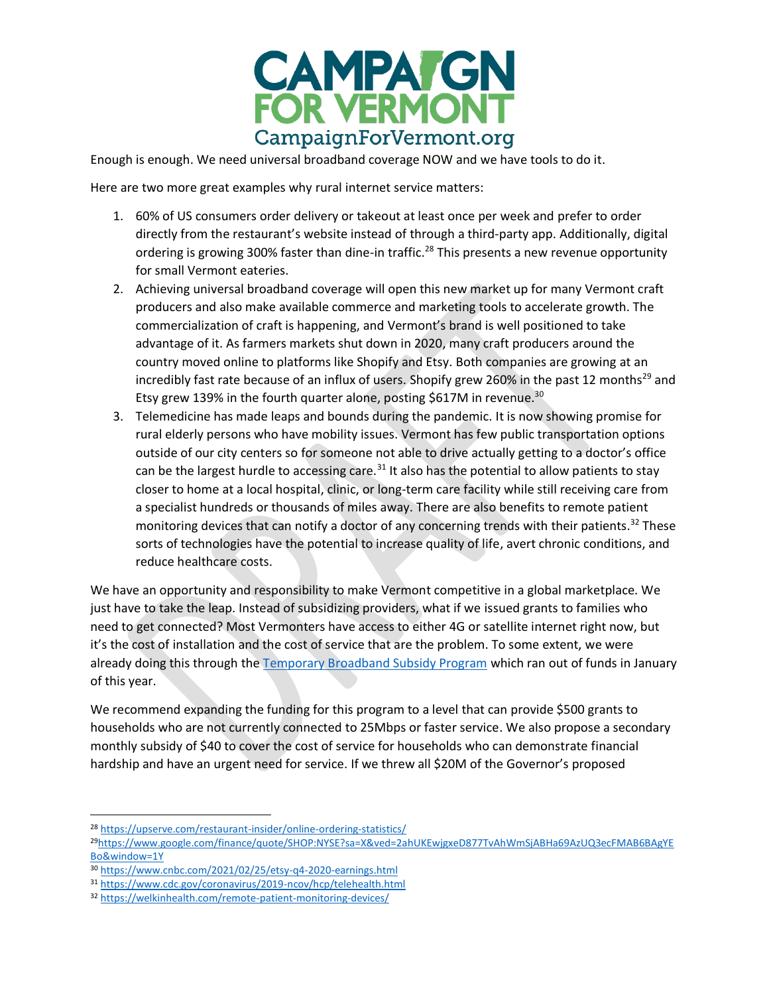

Enough is enough. We need universal broadband coverage NOW and we have tools to do it.

Here are two more great examples why rural internet service matters:

- 1. 60% of US consumers order delivery or takeout at least once per week and prefer to order directly from the restaurant's website instead of through a third-party app. Additionally, digital ordering is growing 300% faster than dine-in traffic.<sup>28</sup> This presents a new revenue opportunity for small Vermont eateries.
- 2. Achieving universal broadband coverage will open this new market up for many Vermont craft producers and also make available commerce and marketing tools to accelerate growth. The commercialization of craft is happening, and Vermont's brand is well positioned to take advantage of it. As farmers markets shut down in 2020, many craft producers around the country moved online to platforms like Shopify and Etsy. Both companies are growing at an incredibly fast rate because of an influx of users. Shopify grew 260% in the past 12 months<sup>29</sup> and Etsy grew 139% in the fourth quarter alone, posting \$617M in revenue.<sup>30</sup>
- 3. Telemedicine has made leaps and bounds during the pandemic. It is now showing promise for rural elderly persons who have mobility issues. Vermont has few public transportation options outside of our city centers so for someone not able to drive actually getting to a doctor's office can be the largest hurdle to accessing care.<sup>31</sup> It also has the potential to allow patients to stay closer to home at a local hospital, clinic, or long-term care facility while still receiving care from a specialist hundreds or thousands of miles away. There are also benefits to remote patient monitoring devices that can notify a doctor of any concerning trends with their patients.<sup>32</sup> These sorts of technologies have the potential to increase quality of life, avert chronic conditions, and reduce healthcare costs.

We have an opportunity and responsibility to make Vermont competitive in a global marketplace. We just have to take the leap. Instead of subsidizing providers, what if we issued grants to families who need to get connected? Most Vermonters have access to either 4G or satellite internet right now, but it's the cost of installation and the cost of service that are the problem. To some extent, we were already doing this through the [Temporary Broadband Subsidy Program](https://publicservice.vermont.gov/content/vermont-temporary-broadband-subsidy-program) which ran out of funds in January of this year.

We recommend expanding the funding for this program to a level that can provide \$500 grants to households who are not currently connected to 25Mbps or faster service. We also propose a secondary monthly subsidy of \$40 to cover the cost of service for households who can demonstrate financial hardship and have an urgent need for service. If we threw all \$20M of the Governor's proposed

<sup>28</sup> <https://upserve.com/restaurant-insider/online-ordering-statistics/>

<sup>29</sup>[https://www.google.com/finance/quote/SHOP:NYSE?sa=X&ved=2ahUKEwjgxeD877TvAhWmSjABHa69AzUQ3ecFMAB6BAgYE](https://www.google.com/finance/quote/SHOP:NYSE?sa=X&ved=2ahUKEwjgxeD877TvAhWmSjABHa69AzUQ3ecFMAB6BAgYEBo&window=1Y) [Bo&window=1Y](https://www.google.com/finance/quote/SHOP:NYSE?sa=X&ved=2ahUKEwjgxeD877TvAhWmSjABHa69AzUQ3ecFMAB6BAgYEBo&window=1Y)

<sup>30</sup> <https://www.cnbc.com/2021/02/25/etsy-q4-2020-earnings.html>

<sup>31</sup> <https://www.cdc.gov/coronavirus/2019-ncov/hcp/telehealth.html>

<sup>32</sup> <https://welkinhealth.com/remote-patient-monitoring-devices/>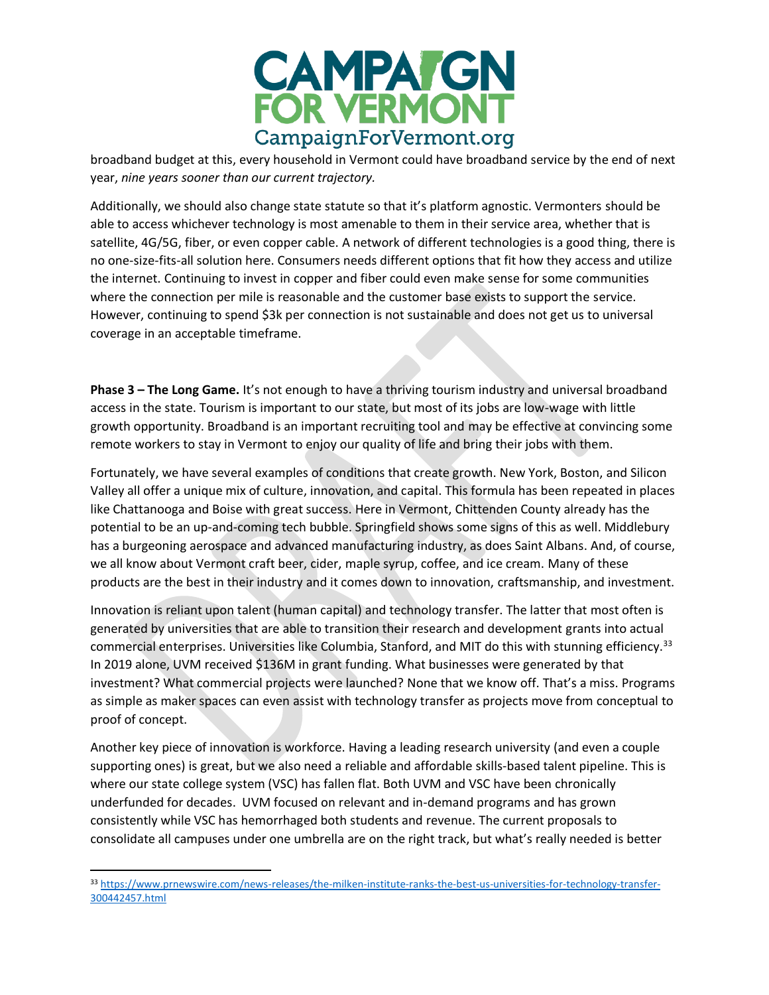

broadband budget at this, every household in Vermont could have broadband service by the end of next year, *nine years sooner than our current trajectory.*

Additionally, we should also change state statute so that it's platform agnostic. Vermonters should be able to access whichever technology is most amenable to them in their service area, whether that is satellite, 4G/5G, fiber, or even copper cable. A network of different technologies is a good thing, there is no one-size-fits-all solution here. Consumers needs different options that fit how they access and utilize the internet. Continuing to invest in copper and fiber could even make sense for some communities where the connection per mile is reasonable and the customer base exists to support the service. However, continuing to spend \$3k per connection is not sustainable and does not get us to universal coverage in an acceptable timeframe.

**Phase 3 – The Long Game.** It's not enough to have a thriving tourism industry and universal broadband access in the state. Tourism is important to our state, but most of its jobs are low-wage with little growth opportunity. Broadband is an important recruiting tool and may be effective at convincing some remote workers to stay in Vermont to enjoy our quality of life and bring their jobs with them.

Fortunately, we have several examples of conditions that create growth. New York, Boston, and Silicon Valley all offer a unique mix of culture, innovation, and capital. This formula has been repeated in places like Chattanooga and Boise with great success. Here in Vermont, Chittenden County already has the potential to be an up-and-coming tech bubble. Springfield shows some signs of this as well. Middlebury has a burgeoning aerospace and advanced manufacturing industry, as does Saint Albans. And, of course, we all know about Vermont craft beer, cider, maple syrup, coffee, and ice cream. Many of these products are the best in their industry and it comes down to innovation, craftsmanship, and investment.

Innovation is reliant upon talent (human capital) and technology transfer. The latter that most often is generated by universities that are able to transition their research and development grants into actual commercial enterprises. Universities like Columbia, Stanford, and MIT do this with stunning efficiency.<sup>33</sup> In 2019 alone, UVM received \$136M in grant funding. What businesses were generated by that investment? What commercial projects were launched? None that we know off. That's a miss. Programs as simple as maker spaces can even assist with technology transfer as projects move from conceptual to proof of concept.

Another key piece of innovation is workforce. Having a leading research university (and even a couple supporting ones) is great, but we also need a reliable and affordable skills-based talent pipeline. This is where our state college system (VSC) has fallen flat. Both UVM and VSC have been chronically underfunded for decades. UVM focused on relevant and in-demand programs and has grown consistently while VSC has hemorrhaged both students and revenue. The current proposals to consolidate all campuses under one umbrella are on the right track, but what's really needed is better

<sup>33</sup> [https://www.prnewswire.com/news-releases/the-milken-institute-ranks-the-best-us-universities-for-technology-transfer-](https://www.prnewswire.com/news-releases/the-milken-institute-ranks-the-best-us-universities-for-technology-transfer-300442457.html)[300442457.html](https://www.prnewswire.com/news-releases/the-milken-institute-ranks-the-best-us-universities-for-technology-transfer-300442457.html)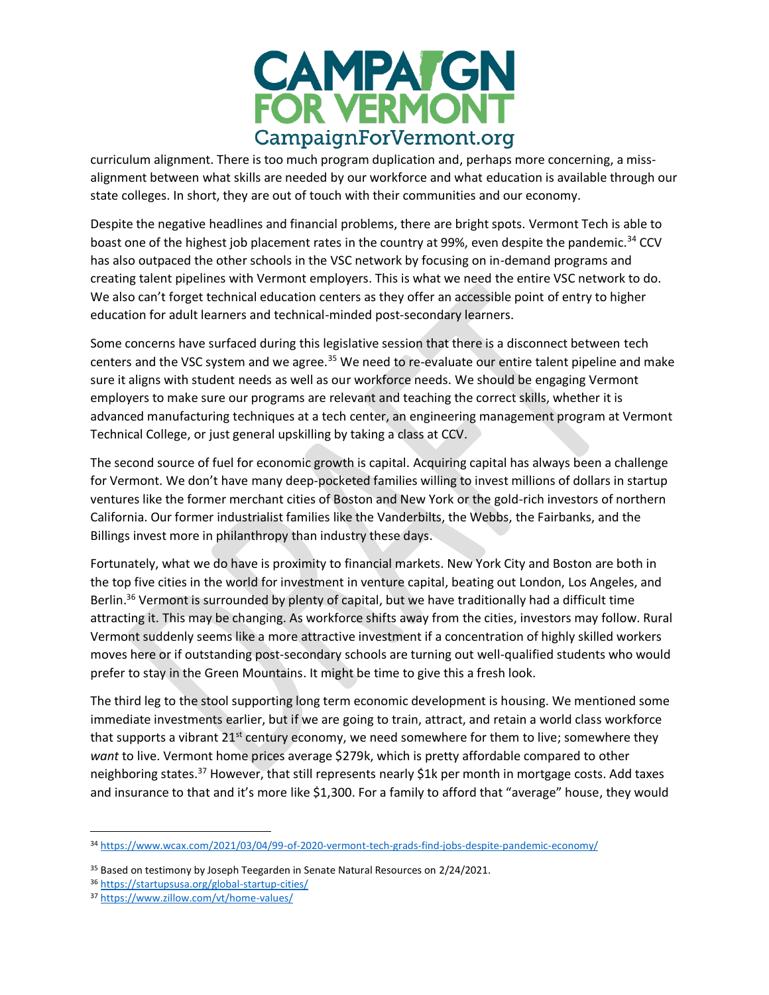

curriculum alignment. There is too much program duplication and, perhaps more concerning, a missalignment between what skills are needed by our workforce and what education is available through our state colleges. In short, they are out of touch with their communities and our economy.

Despite the negative headlines and financial problems, there are bright spots. Vermont Tech is able to boast one of the highest job placement rates in the country at 99%, even despite the pandemic.<sup>34</sup> CCV has also outpaced the other schools in the VSC network by focusing on in-demand programs and creating talent pipelines with Vermont employers. This is what we need the entire VSC network to do. We also can't forget technical education centers as they offer an accessible point of entry to higher education for adult learners and technical-minded post-secondary learners.

Some concerns have surfaced during this legislative session that there is a disconnect between tech centers and the VSC system and we agree.<sup>35</sup> We need to re-evaluate our entire talent pipeline and make sure it aligns with student needs as well as our workforce needs. We should be engaging Vermont employers to make sure our programs are relevant and teaching the correct skills, whether it is advanced manufacturing techniques at a tech center, an engineering management program at Vermont Technical College, or just general upskilling by taking a class at CCV.

The second source of fuel for economic growth is capital. Acquiring capital has always been a challenge for Vermont. We don't have many deep-pocketed families willing to invest millions of dollars in startup ventures like the former merchant cities of Boston and New York or the gold-rich investors of northern California. Our former industrialist families like the Vanderbilts, the Webbs, the Fairbanks, and the Billings invest more in philanthropy than industry these days.

Fortunately, what we do have is proximity to financial markets. New York City and Boston are both in the top five cities in the world for investment in venture capital, beating out London, Los Angeles, and Berlin.<sup>36</sup> Vermont is surrounded by plenty of capital, but we have traditionally had a difficult time attracting it. This may be changing. As workforce shifts away from the cities, investors may follow. Rural Vermont suddenly seems like a more attractive investment if a concentration of highly skilled workers moves here or if outstanding post-secondary schools are turning out well-qualified students who would prefer to stay in the Green Mountains. It might be time to give this a fresh look.

The third leg to the stool supporting long term economic development is housing. We mentioned some immediate investments earlier, but if we are going to train, attract, and retain a world class workforce that supports a vibrant 21<sup>st</sup> century economy, we need somewhere for them to live; somewhere they *want* to live. Vermont home prices average \$279k, which is pretty affordable compared to other neighboring states.<sup>37</sup> However, that still represents nearly \$1k per month in mortgage costs. Add taxes and insurance to that and it's more like \$1,300. For a family to afford that "average" house, they would

<sup>34</sup> <https://www.wcax.com/2021/03/04/99-of-2020-vermont-tech-grads-find-jobs-despite-pandemic-economy/>

<sup>&</sup>lt;sup>35</sup> Based on testimony by Joseph Teegarden in Senate Natural Resources on 2/24/2021.

<sup>36</sup> <https://startupsusa.org/global-startup-cities/>

<sup>37</sup> <https://www.zillow.com/vt/home-values/>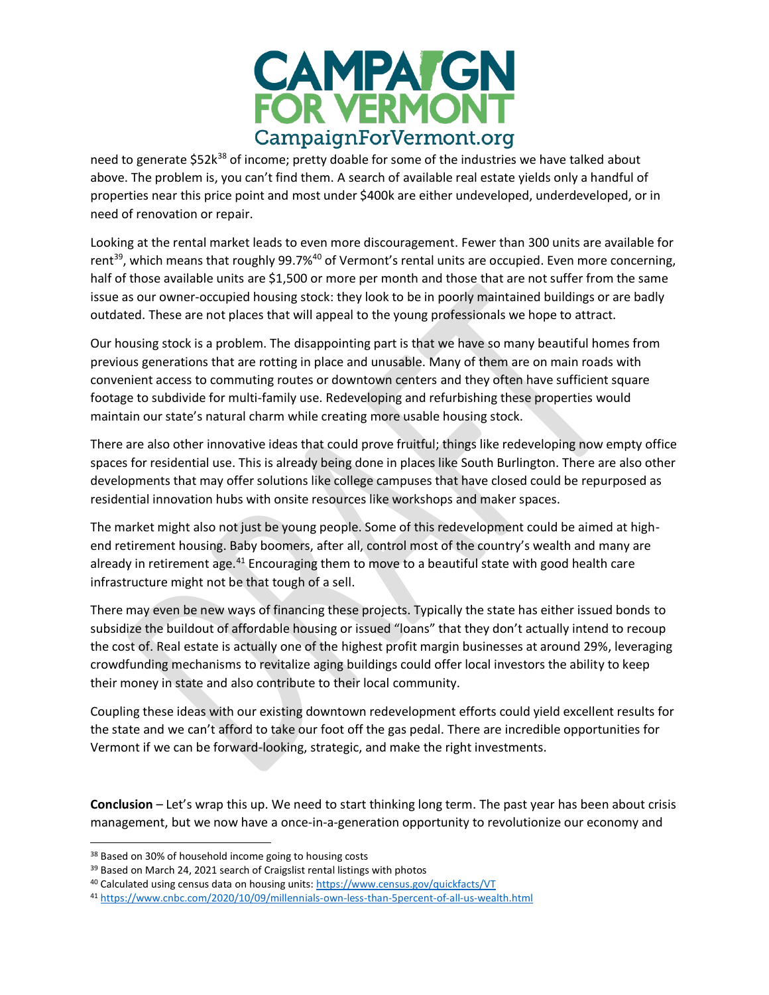

need to generate \$52k<sup>38</sup> of income; pretty doable for some of the industries we have talked about above. The problem is, you can't find them. A search of available real estate yields only a handful of properties near this price point and most under \$400k are either undeveloped, underdeveloped, or in need of renovation or repair.

Looking at the rental market leads to even more discouragement. Fewer than 300 units are available for rent<sup>39</sup>, which means that roughly 99.7%<sup>40</sup> of Vermont's rental units are occupied. Even more concerning, half of those available units are \$1,500 or more per month and those that are not suffer from the same issue as our owner-occupied housing stock: they look to be in poorly maintained buildings or are badly outdated. These are not places that will appeal to the young professionals we hope to attract.

Our housing stock is a problem. The disappointing part is that we have so many beautiful homes from previous generations that are rotting in place and unusable. Many of them are on main roads with convenient access to commuting routes or downtown centers and they often have sufficient square footage to subdivide for multi-family use. Redeveloping and refurbishing these properties would maintain our state's natural charm while creating more usable housing stock.

There are also other innovative ideas that could prove fruitful; things like redeveloping now empty office spaces for residential use. This is already being done in places like South Burlington. There are also other developments that may offer solutions like college campuses that have closed could be repurposed as residential innovation hubs with onsite resources like workshops and maker spaces.

The market might also not just be young people. Some of this redevelopment could be aimed at highend retirement housing. Baby boomers, after all, control most of the country's wealth and many are already in retirement age.<sup>41</sup> Encouraging them to move to a beautiful state with good health care infrastructure might not be that tough of a sell.

There may even be new ways of financing these projects. Typically the state has either issued bonds to subsidize the buildout of affordable housing or issued "loans" that they don't actually intend to recoup the cost of. Real estate is actually one of the highest profit margin businesses at around 29%, leveraging crowdfunding mechanisms to revitalize aging buildings could offer local investors the ability to keep their money in state and also contribute to their local community.

Coupling these ideas with our existing downtown redevelopment efforts could yield excellent results for the state and we can't afford to take our foot off the gas pedal. There are incredible opportunities for Vermont if we can be forward-looking, strategic, and make the right investments.

**Conclusion** – Let's wrap this up. We need to start thinking long term. The past year has been about crisis management, but we now have a once-in-a-generation opportunity to revolutionize our economy and

<sup>38</sup> Based on 30% of household income going to housing costs

<sup>&</sup>lt;sup>39</sup> Based on March 24, 2021 search of Craigslist rental listings with photos

<sup>40</sup> Calculated using census data on housing units:<https://www.census.gov/quickfacts/VT>

<sup>41</sup> <https://www.cnbc.com/2020/10/09/millennials-own-less-than-5percent-of-all-us-wealth.html>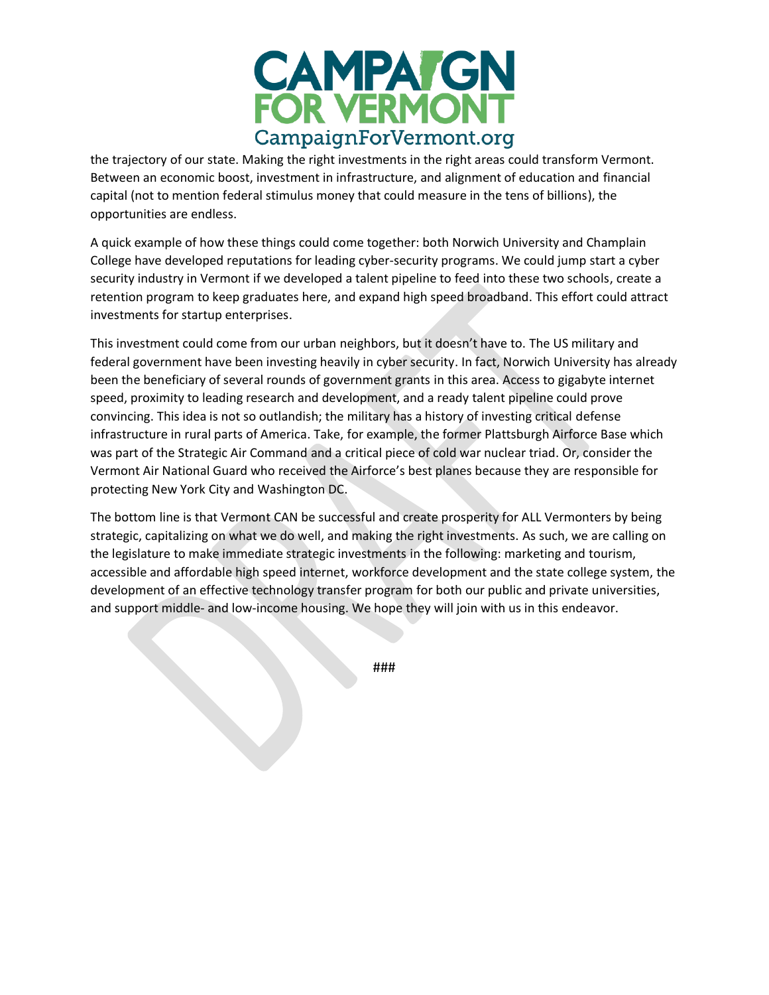

the trajectory of our state. Making the right investments in the right areas could transform Vermont. Between an economic boost, investment in infrastructure, and alignment of education and financial capital (not to mention federal stimulus money that could measure in the tens of billions), the opportunities are endless.

A quick example of how these things could come together: both Norwich University and Champlain College have developed reputations for leading cyber-security programs. We could jump start a cyber security industry in Vermont if we developed a talent pipeline to feed into these two schools, create a retention program to keep graduates here, and expand high speed broadband. This effort could attract investments for startup enterprises.

This investment could come from our urban neighbors, but it doesn't have to. The US military and federal government have been investing heavily in cyber security. In fact, Norwich University has already been the beneficiary of several rounds of government grants in this area. Access to gigabyte internet speed, proximity to leading research and development, and a ready talent pipeline could prove convincing. This idea is not so outlandish; the military has a history of investing critical defense infrastructure in rural parts of America. Take, for example, the former Plattsburgh Airforce Base which was part of the Strategic Air Command and a critical piece of cold war nuclear triad. Or, consider the Vermont Air National Guard who received the Airforce's best planes because they are responsible for protecting New York City and Washington DC.

The bottom line is that Vermont CAN be successful and create prosperity for ALL Vermonters by being strategic, capitalizing on what we do well, and making the right investments. As such, we are calling on the legislature to make immediate strategic investments in the following: marketing and tourism, accessible and affordable high speed internet, workforce development and the state college system, the development of an effective technology transfer program for both our public and private universities, and support middle- and low-income housing. We hope they will join with us in this endeavor.

###